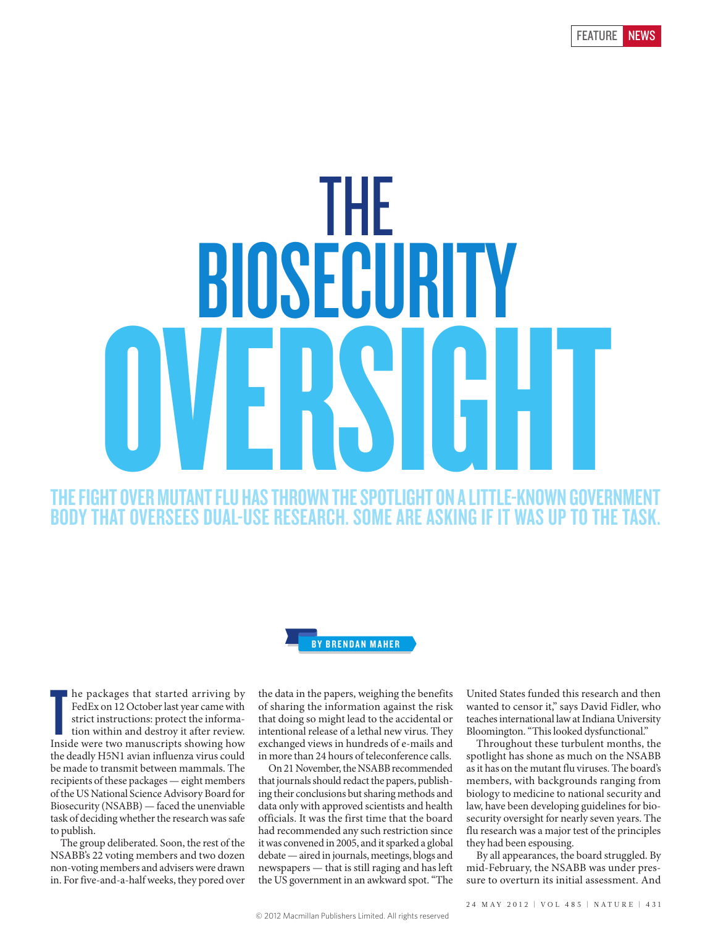# THE FIGHT OVER MUTANT FLU HAS THROWN THE SPOTLIGHT ON A LITTLE-KNOWN GOVERNMENT BODY THAT OVERSEES DUAL-USE RESEARCH. SOME ARE ASKING IF IT WAS UP TO THE THE BIOSECURITY OVERSIGHT



Inside were that started arriving by FedEx on 12 October last year came with strict instructions: protect the information within and destroy it after review. Inside were two manuscripts showing how he packages that started arriving by FedEx on 12 October last year came with strict instructions: protect the information within and destroy it after review. the deadly H5N1 avian influenza virus could be made to transmit between mammals. The recipients of these packages — eight members of the US National Science Advisory Board for Biosecurity (NSABB) — faced the unenviable task of deciding whether the research was safe to publish.

The group deliberated. Soon, the rest of the NSABB's 22 voting members and two dozen non-voting members and advisers were drawn in. For five-and-a-half weeks, they pored over

the data in the papers, weighing the benefits of sharing the information against the risk that doing so might lead to the accidental or intentional release of a lethal new virus. They exchanged views in hundreds of e-mails and in more than 24 hours of teleconference calls.

On 21 November, the NSABB recommended that journals should redact the papers, publishing their conclusions but sharing methods and data only with approved scientists and health officials. It was the first time that the board had recommended any such restriction since it was convened in 2005, and it sparked a global debate — aired in journals, meetings, blogs and newspapers — that is still raging and has left the US government in an awkward spot. "The United States funded this research and then wanted to censor it," says David Fidler, who teaches international law at Indiana University Bloomington. "This looked dysfunctional."

Throughout these turbulent months, the spotlight has shone as much on the NSABB as it has on the mutant flu viruses. The board's members, with backgrounds ranging from biology to medicine to national security and law, have been developing guidelines for biosecurity oversight for nearly seven years. The flu research was a major test of the principles they had been espousing.

By all appearances, the board struggled. By mid-February, the NSABB was under pressure to overturn its initial assessment. And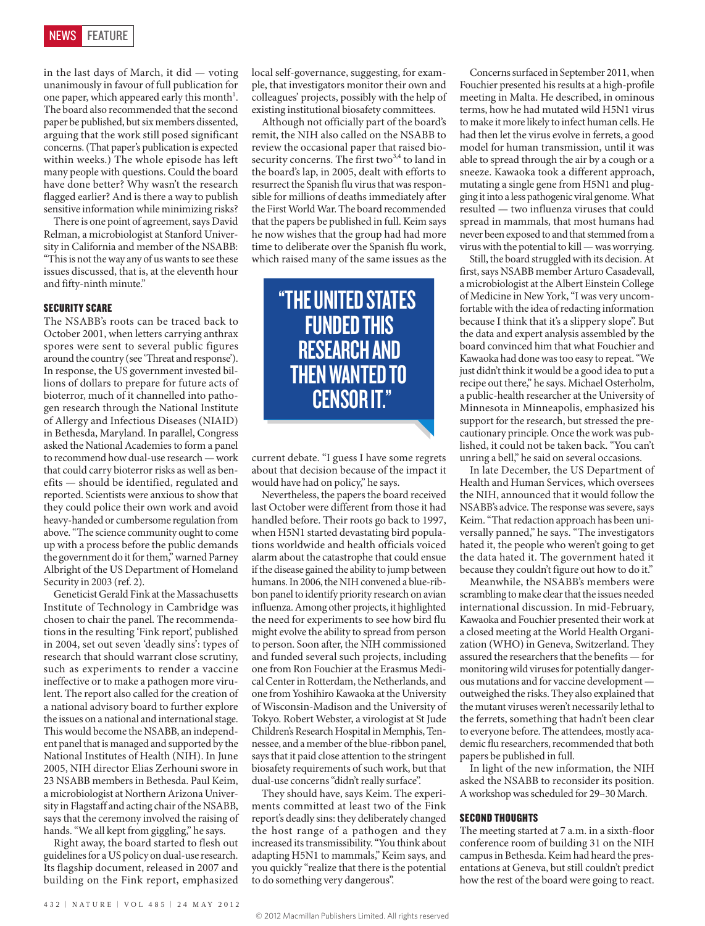in the last days of March, it did — voting unanimously in favour of full publication for one paper, which appeared early this month<sup>1</sup>. The board also recommended that the second paper be published, but six members dissented, arguing that the work still posed significant concerns. (That paper's publication is expected within weeks.) The whole episode has left many people with questions. Could the board have done better? Why wasn't the research flagged earlier? And is there a way to publish sensitive information while minimizing risks?

There is one point of agreement, says David Relman, a microbiologist at Stanford University in California and member of the NSABB: "This is not the way any of us wants to see these issues discussed, that is, at the eleventh hour and fifty-ninth minute."

#### **SECURITY SCARE**

The NSABB's roots can be traced back to October 2001, when letters carrying anthrax spores were sent to several public figures around the country (see 'Threat and response'). In response, the US government invested billions of dollars to prepare for future acts of bioterror, much of it channelled into pathogen research through the National Institute of Allergy and Infectious Diseases (NIAID) in Bethesda, Maryland. In parallel, Congress asked the National Academies to form a panel to recommend how dual-use research — work that could carry bioterror risks as well as benefits — should be identified, regulated and reported. Scientists were anxious to show that they could police their own work and avoid heavy-handed or cumbersome regulation from above. "The science community ought to come up with a process before the public demands the government do it for them," warned Parney Albright of the US Department of Homeland Security in 2003 (ref. 2).

Geneticist Gerald Fink at the Massachusetts Institute of Technology in Cambridge was chosen to chair the panel. The recommendations in the resulting 'Fink report', published in 2004, set out seven 'deadly sins': types of research that should warrant close scrutiny, such as experiments to render a vaccine ineffective or to make a pathogen more virulent. The report also called for the creation of a national advisory board to further explore the issues on a national and international stage. This would become the NSABB, an independent panel that is managed and supported by the National Institutes of Health (NIH). In June 2005, NIH director Elias Zerhouni swore in 23 NSABB members in Bethesda. Paul Keim, a microbiologist at Northern Arizona University in Flagstaff and acting chair of the NSABB, says that the ceremony involved the raising of hands. "We all kept from giggling," he says.

Right away, the board started to flesh out guidelines for a US policy on dual-use research. Its flagship document, released in 2007 and building on the Fink report, emphasized local self-governance, suggesting, for example, that investigators monitor their own and colleagues' projects, possibly with the help of existing institutional biosafety committees.

Although not officially part of the board's remit, the NIH also called on the NSABB to review the occasional paper that raised biosecurity concerns. The first two<sup>3,4</sup> to land in the board's lap, in 2005, dealt with efforts to resurrect the Spanish flu virus that was responsible for millions of deaths immediately after the First World War. The board recommended that the papers be published in full. Keim says he now wishes that the group had had more time to deliberate over the Spanish flu work, which raised many of the same issues as the

> "THE UNITED STATES FUNDED THIS RESEARCH AND THEN WANTED TO CENSOR IT."

current debate. "I guess I have some regrets about that decision because of the impact it would have had on policy," he says.

Nevertheless, the papers the board received last October were different from those it had handled before. Their roots go back to 1997, when H5N1 started devastating bird populations worldwide and health officials voiced alarm about the catastrophe that could ensue if the disease gained the ability to jump between humans. In 2006, the NIH convened a blue-ribbon panel to identify priority research on avian influenza. Among other projects, it highlighted the need for experiments to see how bird flu might evolve the ability to spread from person to person. Soon after, the NIH commissioned and funded several such projects, including one from Ron Fouchier at the Erasmus Medical Center in Rotterdam, the Netherlands, and one from Yoshihiro Kawaoka at the University of Wisconsin-Madison and the University of Tokyo. Robert Webster, a virologist at St Jude Children's Research Hospital in Memphis, Tennessee, and a member of the blue-ribbon panel, says that it paid close attention to the stringent biosafety requirements of such work, but that dual-use concerns "didn't really surface".

They should have, says Keim. The experiments committed at least two of the Fink report's deadly sins: they deliberately changed the host range of a pathogen and they increased its transmissibility. "You think about adapting H5N1 to mammals," Keim says, and you quickly "realize that there is the potential to do something very dangerous".

Concerns surfaced in September 2011, when Fouchier presented his results at a high-profile meeting in Malta. He described, in ominous terms, how he had mutated wild H5N1 virus to make it more likely to infect human cells. He had then let the virus evolve in ferrets, a good model for human transmission, until it was able to spread through the air by a cough or a sneeze. Kawaoka took a different approach, mutating a single gene from H5N1 and plugging it into a less pathogenic viral genome. What resulted — two influenza viruses that could spread in mammals, that most humans had never been exposed to and that stemmed from a virus with the potential to kill — was worrying.

Still, the board struggled with its decision. At first, says NSABB member Arturo Casadevall, a microbiologist at the Albert Einstein College of Medicine in New York, "I was very uncomfortable with the idea of redacting information because I think that it's a slippery slope". But the data and expert analysis assembled by the board convinced him that what Fouchier and Kawaoka had done was too easy to repeat. "We just didn't think it would be a good idea to put a recipe out there," he says. Michael Osterholm, a public-health researcher at the University of Minnesota in Minneapolis, emphasized his support for the research, but stressed the precautionary principle. Once the work was published, it could not be taken back. "You can't unring a bell," he said on several occasions.

In late December, the US Department of Health and Human Services, which oversees the NIH, announced that it would follow the NSABB's advice. The response was severe, says Keim. "That redaction approach has been universally panned," he says. "The investigators hated it, the people who weren't going to get the data hated it. The government hated it because they couldn't figure out how to do it."

Meanwhile, the NSABB's members were scrambling to make clear that the issues needed international discussion. In mid-February, Kawaoka and Fouchier presented their work at a closed meeting at the World Health Organization (WHO) in Geneva, Switzerland. They assured the researchers that the benefits — for monitoring wild viruses for potentially dangerous mutations and for vaccine development outweighed the risks. They also explained that the mutant viruses weren't necessarily lethal to the ferrets, something that hadn't been clear to everyone before. The attendees, mostly academic flu researchers, recommended that both papers be published in full.

In light of the new information, the NIH asked the NSABB to reconsider its position. A workshop was scheduled for 29–30 March.

### SECOND THOUGHTS

The meeting started at 7 a.m. in a sixth-floor conference room of building 31 on the NIH campus in Bethesda. Keim had heard the presentations at Geneva, but still couldn't predict how the rest of the board were going to react.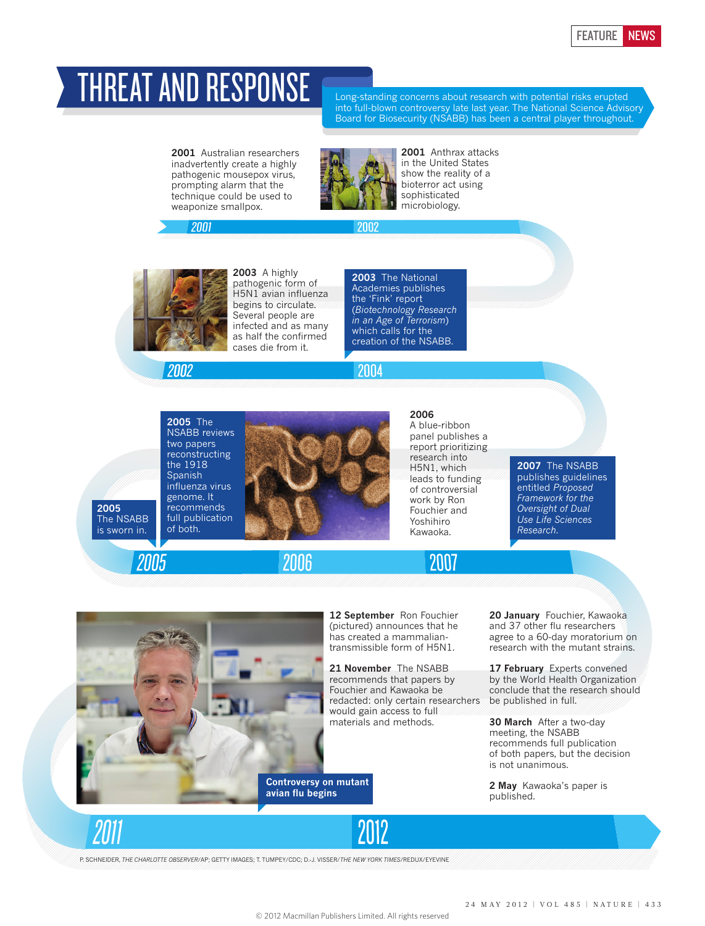## THREAT AND RESPONSE

Long-standing concerns about research with potential risks erupted into full-blown controversy late last year. The National Science Advisory Board for Biosecurity (NSABB) has been a central player throughout.

**2001** Australian researchers inadvertently create a highly pathogenic mousepox virus, prompting alarm that the technique could be used to weaponize smallpox.



2002

2004

**2001** Anthrax attacks in the United States show the reality of a bioterror act using sophisticated microbiology.



2001

**2003** A highly pathogenic form of H5N1 avian influenza begins to circulate. Several people are infected and as many as half the confirmed cases die from it.

**2003** The National Academies publishes the 'Fink' report (*Biotechnology Research in an Age of Terrorism*) which calls for the creation of the NSABB.

2002

**2005** The NSABB reviews two papers reconstructing the 1918 Spanish influenza virus genome. It recommends full publication of both.



2006

**2006** 

A blue-ribbon panel publishes a report prioritizing research into H5N1, which leads to funding of controversial work by Ron Fouchier and Yoshihiro Kawaoka.

2007

**2007** The NSABB publishes guidelines entitled *Proposed Framework for the Oversight of Dual Use Life Sciences Research*.



**12 September** Ron Fouchier (pictured) announces that he has created a mammaliantransmissible form of H5N1.

**21 November** The NSABB recommends that papers by Fouchier and Kawaoka be redacted: only certain researchers would gain access to full materials and methods.

**Controversy on mutant avian flu begins** 

**20 January** Fouchier, Kawaoka and 37 other flu researchers agree to a 60-day moratorium on research with the mutant strains.

**17 February** Experts convened by the World Health Organization conclude that the research should be published in full.

**30 March** After a two-day meeting, the NSABB recommends full publication of both papers, but the decision is not unanimous.

**2 May** Kawaoka's paper is published.



**2005**  The NSABB is sworn in.

2005

P. SCHNEIDER, *THE CHARLOTTE OBSERVER*/AP; GETTY IMAGES; T. TUMPEY/CDC; D.-J. VISSER/*THE NEW YORK TIMES*/REDUX/EYEVINE